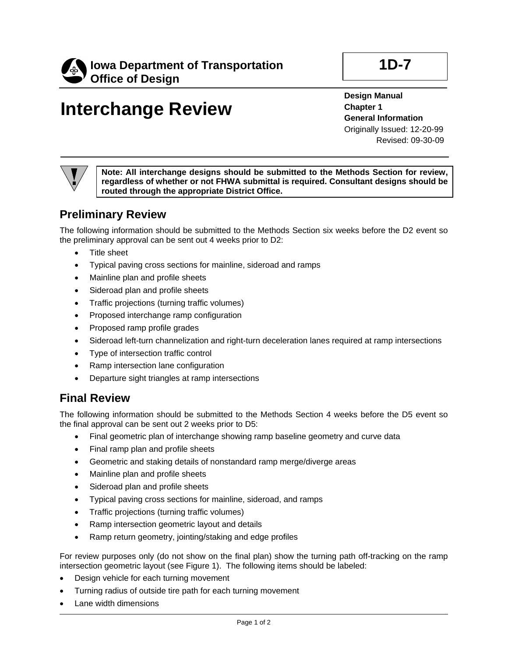

## **Interchange Review**

**Design Manual Chapter 1 General Information** Originally Issued: 12-20-99 Revised: 09-30-09

**Note: All interchange designs should be submitted to the Methods Section for review, regardless of whether or not FHWA submittal is required. Consultant designs should be routed through the appropriate District Office.**

## **Preliminary Review**

The following information should be submitted to the Methods Section six weeks before the D2 event so the preliminary approval can be sent out 4 weeks prior to D2:

- Title sheet
- Typical paving cross sections for mainline, sideroad and ramps
- Mainline plan and profile sheets
- Sideroad plan and profile sheets
- Traffic projections (turning traffic volumes)
- Proposed interchange ramp configuration
- Proposed ramp profile grades
- Sideroad left-turn channelization and right-turn deceleration lanes required at ramp intersections
- Type of intersection traffic control
- Ramp intersection lane configuration
- Departure sight triangles at ramp intersections

## **Final Review**

The following information should be submitted to the Methods Section 4 weeks before the D5 event so the final approval can be sent out 2 weeks prior to D5:

- Final geometric plan of interchange showing ramp baseline geometry and curve data
- Final ramp plan and profile sheets
- Geometric and staking details of nonstandard ramp merge/diverge areas
- Mainline plan and profile sheets
- Sideroad plan and profile sheets
- Typical paving cross sections for mainline, sideroad, and ramps
- Traffic projections (turning traffic volumes)
- Ramp intersection geometric layout and details
- Ramp return geometry, jointing/staking and edge profiles

For review purposes only (do not show on the final plan) show the turning path off-tracking on the ramp intersection geometric layout (see Figure 1). The following items should be labeled:

- Design vehicle for each turning movement
- Turning radius of outside tire path for each turning movement
- Lane width dimensions